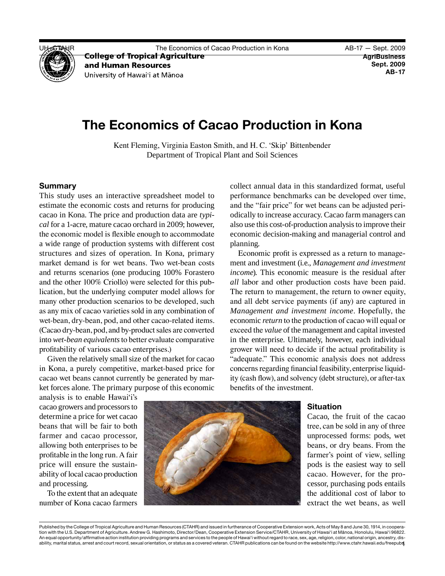

UH–CTAHR The Economics of Cacao Production in Kona AB-17 — Sept. 2009

and Human Resources University of Hawai'i at Mānoa

# **The Economics of Cacao Production in Kona**

Kent Fleming, Virginia Easton Smith, and H. C. 'Skip' Bittenbender Department of Tropical Plant and Soil Sciences

# **Summary**

 This study uses an interactive spreadsheet model to structures and sizes of operation. In Kona, primary (Cacao dry-bean, pod, and by-product sales are converted into *wet-bean equivalents* to better evaluate comparative estimate the economic costs and returns for producing cacao in Kona. The price and production data are *typical* for a 1-acre, mature cacao orchard in 2009; however, the economic model is flexible enough to accommodate a wide range of production systems with different cost market demand is for wet beans. Two wet-bean costs and returns scenarios (one producing 100% Forastero and the other 100% Criollo) were selected for this publication, but the underlying computer model allows for many other production scenarios to be developed, such as any mix of cacao varieties sold in any combination of wet-bean, dry-bean, pod, and other cacao-related items. profitability of various cacao enterprises.)

Given the relatively small size of the market for cacao in Kona, a purely competitive, market-based price for cacao wet beans cannot currently be generated by market forces alone. The primary purpose of this economic

 also use this cost-of-production analysis to improve their collect annual data in this standardized format, useful performance benchmarks can be developed over time, and the "fair price" for wet beans can be adjusted periodically to increase accuracy. Cacao farm managers can economic decision-making and managerial control and planning.

 *all* labor and other production costs have been paid.  *Management and investment income*. Hopefully, the economic *return* to the production of cacao will equal or exceed the *value* of the management and capital invested "adequate." This economic analysis does not address concerns regarding financial feasibility, enterprise liquid-Economic profit is expressed as a return to management and investment (i.e., *Management and investment income*). This economic measure is the residual after The return to management, the return to owner equity, and all debt service payments (if any) are captured in in the enterprise. Ultimately, however, each individual grower will need to decide if the actual profitability is ity (cash flow), and solvency (debt structure), or after-tax benefits of the investment.

 cacao growers and processors to farmer and cacao processor, profitable in the long run. A fair price will ensure the sustain- ability of local cacao production analysis is to enable Hawai'i's determine a price for wet cacao beans that will be fair to both allowing both enterprises to be and processing.

To the extent that an adequate number of Kona cacao farmers



# **Situation**

 Cacao, the fruit of the cacao unprocessed forms: pods, wet cacao. However, for the pro- extract the wet beans, as well tree, can be sold in any of three beans, or dry beans. From the farmer's point of view, selling pods is the easiest way to sell cessor, purchasing pods entails the additional cost of labor to

 Published by the College of Tropical Agriculture and Human Resources (CTAHR) and issued in furtherance of Cooperative Extension work, Acts of May 8 and June 30, 1914, in coopera- tion with the U.S. Department of Agriculture. Andrew G. Hashimoto, Director/Dean, Cooperative Extension Service/CTAHR, University of Hawai'i at Mānoa, Honolulu, Hawai'i 96822. An equal opportunity/affirmative action institution providing programs and services to the people of Hawai'i without regard to race, sex, age, religion, color, national origin, ancestry, dis-1 ability, marital status, arrest and court record, sexual orientation, or status as a covered veteran. CTAHR publications can be found on the website<http://www.ctahr.hawaii.edu/freepubs>.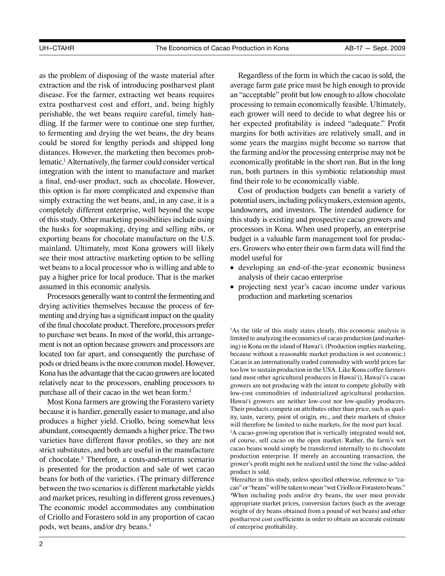extra postharvest cost and effort, and, being highly lematic.1 Alternatively, the farmer could consider vertical of this study. Other marketing possibilities include using mainland. Ultimately, most Kona growers will likely as the problem of disposing of the waste material after extraction and the risk of introducing postharvest plant disease. For the farmer, extracting wet beans requires perishable, the wet beans require careful, timely handling. If the farmer were to continue one step further, to fermenting and drying the wet beans, the dry beans could be stored for lengthy periods and shipped long distances. However, the marketing then becomes probintegration with the intent to manufacture and market a final, end-user product, such as chocolate. However, this option is far more complicated and expensive than simply extracting the wet beans, and, in any case, it is a completely different enterprise, well beyond the scope the husks for soapmaking, drying and selling nibs, or exporting beans for chocolate manufacture on the U.S. see their most attractive marketing option to be selling wet beans to a local processor who is willing and able to pay a higher price for local produce. That is the market assumed in this economic analysis.

 drying activities themselves because the process of fer- menting and drying has a significant impact on the quality of the final chocolate product. Therefore, processors prefer to purchase wet beans. In most of the world, this arrange- ment is not an option because growers and processors are located too far apart, and consequently the purchase of pods or dried beans is the more common model. However, Kona has the advantage that the cacao growers are located relatively near to the processors, enabling processors to purchase all of their cacao in the wet bean form.<sup>2</sup> Processors generally want to control the fermenting and

 because it is hardier, generally easier to manage, and also abundant, consequently demands a higher price. The two of chocolate.3 Therefore, a costs-and-returns scenario Most Kona farmers are growing the Forastero variety produces a higher yield. Criollo, being somewhat less varieties have different flavor profiles, so they are not strict substitutes, and both are useful in the manufacture is presented for the production and sale of wet cacao beans for both of the varieties. (The primary difference between the two scenarios is different marketable yields and market prices, resulting in different gross revenues.) The economic model accommodates any combination of Criollo and Forastero sold in any proportion of cacao pods, wet beans, and/or dry beans.<sup>4</sup>

 an "acceptable" profit but low enough to allow chocolate her expected profitability is indeed "adequate." Profit Regardless of the form in which the cacao is sold, the average farm gate price must be high enough to provide processing to remain economically feasible. Ultimately, each grower will need to decide to what degree his or margins for both activities are relatively small, and in some years the margins might become so narrow that the farming and/or the processing enterprise may not be economically profitable in the short run. But in the long run, both partners in this symbiotic relationship must find their role to be economically viable.

 potential users, including policymakers, extension agents, landowners, and investors. The intended audience for Cost of production budgets can benefit a variety of this study is existing and prospective cacao growers and processors in Kona. When used properly, an enterprise budget is a valuable farm management tool for producers. Growers who enter their own farm data will find the model useful for

- • developing an end-of-the-year economic business analysis of their cacao enterprise
- • projecting next year's cacao income under various production and marketing scenarios

 limited to analyzing the economics of cacao production (and market- ing) in Kona on the island of Hawai'i. (Production implies marketing, low-cost commodities of industrialized agricultural production. Hawai'i growers are neither low-cost nor low-quality producers. <sup>1</sup>As the title of this study states clearly, this economic analysis is because without a reasonable market production is not economic.) Cacao is an internationally traded commodity with world prices far too low to sustain production in the USA. Like Kona coffee farmers (and most other agricultural producers in Hawai'i), Hawai'i's cacao growers are not producing with the intent to compete globally with Their products compete on attributes other than price, such as quality, taste, variety, point of origin, etc., and their markets of choice will therefore be limited to niche markets, for the most part local.

 production enterprise. If merely an accounting transaction, the <sup>2</sup>A cacao-growing operation that is vertically integrated would not, of course, sell cacao on the open market. Rather, the farm's wet cacao beans would simply be transferred internally to its chocolate grower's profit might not be realized until the time the value-added product is sold.

<sup>3</sup>Hereafter in this study, unless specified otherwise, reference to "ca- cao" or "beans" will be taken to mean "wet Criollo or Forastero beans." 4 When including pods and/or dry beans, the user must provide appropriate market prices, conversion factors (such as the average weight of dry beans obtained from a pound of wet beans) and other postharvest cost coefficients in order to obtain an accurate estimate of enterprise profitability.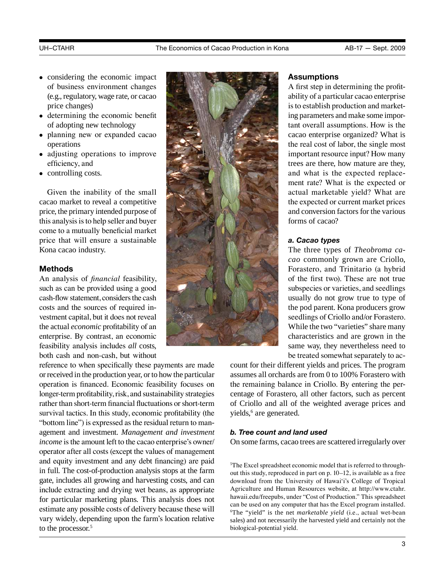- 
- of business environment changes (e.g., regulatory, wage rate, or cacao
- determining the economic benefit of adopting new technology
- 
- adjusting operations to improve
- 

come to a mutually beneficial market

such as can be provided using a good cash-flow statement, considers the cash costs and the sources of required investment capital, but it does not reveal enterprise. By contrast, an economic feasibility analysis includes all costs. both cash and non-cash, but without

 reference to when specifically these payments are made or received in the production year, or to how the particular operation is financed. Economic feasibility focuses on longer-term profitability, risk, and sustainability strategies rather than short-term financial fluctuations or short-term survival tactics. In this study, economic profitability (the "bottom line") is expressed as the residual return to man- agement and investment. *Management and investment income* is the amount left to the cacao enterprise's owner/ operator after all costs (except the values of management and equity investment and any debt financing) are paid in full. The cost-of-production analysis stops at the farm gate, includes all growing and harvesting costs, and can include extracting and drying wet beans, as appropriate for particular marketing plans. This analysis does not estimate any possible costs of delivery because these will vary widely, depending upon the farm's location relative to the processor.<sup>5</sup>



ing parameters and make some impor- ment rate? What is the expected or A first step in determining the profittant overall assumptions. How is the trees are there, how mature are they,

 *cao* commonly grown are Criollo, While the two "varieties" share many subspecies or varieties, and seedlings usually do not grow true to type of the pod parent. Kona producers grow seedlings of Criollo and/or Forastero. characteristics and are grown in the same way, they nevertheless need to be treated somewhat separately to ac-

count for their different yields and prices. The program assumes all orchards are from 0 to 100% Forastero with the remaining balance in Criollo. By entering the percentage of Forastero, all other factors, such as percent of Criollo and all of the weighted average prices and yields,<sup>6</sup> are generated.

# *b. Tree count and land used*

On some farms, cacao trees are scattered irregularly over

 download from the University of Hawai'i's College of Tropical Agriculture and Human Resources website, at http://www.ctahr. 6 The "yield" is the net *marketable yield* (i.e., actual wet-bean 5 The Excel spreadsheet economic model that is referred to throughout this study, reproduced in part on p. 10–12, is available as a free hawaii.edu/freepubs, under "Cost of Production." This spreadsheet can be used on any computer that has the Excel program installed. sales) and not necessarily the harvested yield and certainly not the biological-potential yield.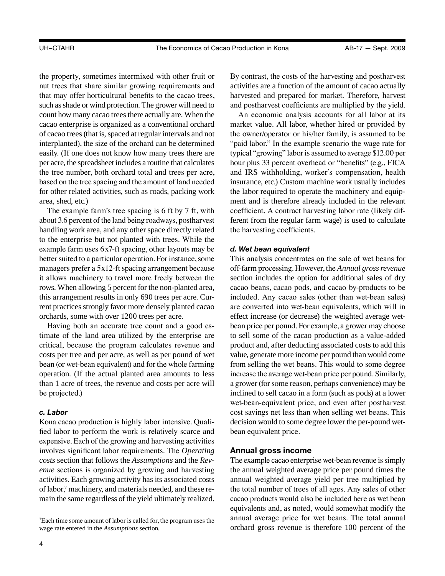such as shade or wind protection. The grower will need to count how many cacao trees there actually are. When the of cacao trees (that is, spaced at regular intervals and not per acre, the spreadsheet includes a routine that calculates based on the tree spacing and the amount of land needed the property, sometimes intermixed with other fruit or nut trees that share similar growing requirements and that may offer horticultural benefits to the cacao trees, cacao enterprise is organized as a conventional orchard interplanted), the size of the orchard can be determined easily. (If one does not know how many trees there are the tree number, both orchard total and trees per acre, for other related activities, such as roads, packing work area, shed, etc.)

 about 3.6 percent of the land being roadways, postharvest better suited to a particular operation. For instance, some The example farm's tree spacing is 6 ft by 7 ft, with handling work area, and any other space directly related to the enterprise but not planted with trees. While the example farm uses 6x7-ft spacing, other layouts may be managers prefer a 5x12-ft spacing arrangement because it allows machinery to travel more freely between the rows. When allowing 5 percent for the non-planted area, this arrangement results in only 690 trees per acre. Current practices strongly favor more densely planted cacao orchards, some with over 1200 trees per acre.

 timate of the land area utilized by the enterprise are critical, because the program calculates revenue and Having both an accurate tree count and a good escosts per tree and per acre, as well as per pound of wet bean (or wet-bean equivalent) and for the whole farming operation. (If the actual planted area amounts to less than 1 acre of trees, the revenue and costs per acre will be projected.)

### *c. Labor*

of labor,<sup>7</sup> machinery, and materials needed, and these re- main the same regardless of the yield ultimately realized. Kona cacao production is highly labor intensive. Qualified labor to perform the work is relatively scarce and expensive. Each of the growing and harvesting activities involves significant labor requirements. The *Operating costs* section that follows the *Assumptions* and the *Revenue* sections is organized by growing and harvesting activities. Each growing activity has its associated costs

7 Each time some amount of labor is called for, the program uses the wage rate entered in the *Assumptions* section.

By contrast, the costs of the harvesting and postharvest activities are a function of the amount of cacao actually harvested and prepared for market. Therefore, harvest and postharvest coefficients are multiplied by the yield.

 typical "growing" labor is assumed to average \$12.00 per and IRS withholding, worker's compensation, health An economic analysis accounts for all labor at its market value. All labor, whether hired or provided by the owner/operator or his/her family, is assumed to be "paid labor." In the example scenario the wage rate for hour plus 33 percent overhead or "benefits" (e.g., FICA insurance, etc.) Custom machine work usually includes the labor required to operate the machinery and equipment and is therefore already included in the relevant coefficient. A contract harvesting labor rate (likely different from the regular farm wage) is used to calculate the harvesting coefficients.

### *d. Wet bean equivalent*

 off-farm processing. However, the *Annual gross revenue*  bean price per pound. For example, a grower may choose value, generate more income per pound than would come increase the average wet-bean price per pound. Similarly, a grower (for some reason, perhaps convenience) may be wet-bean-equivalent price, and even after postharvest decision would to some degree lower the per-pound wet-This analysis concentrates on the sale of wet beans for section includes the option for additional sales of dry cacao beans, cacao pods, and cacao by-products to be included. Any cacao sales (other than wet-bean sales) are converted into wet-bean equivalents, which will in effect increase (or decrease) the weighted average wetto sell some of the cacao production as a value-added product and, after deducting associated costs to add this from selling the wet beans. This would to some degree inclined to sell cacao in a form (such as pods) at a lower cost savings net less than when selling wet beans. This bean equivalent price.

## **Annual gross income**

 The example cacao enterprise wet-bean revenue is simply annual weighted average yield per tree multiplied by annual average price for wet beans. The total annual orchard gross revenue is therefore 100 percent of the the annual weighted average price per pound times the the total number of trees of all ages. Any sales of other cacao products would also be included here as wet bean equivalents and, as noted, would somewhat modify the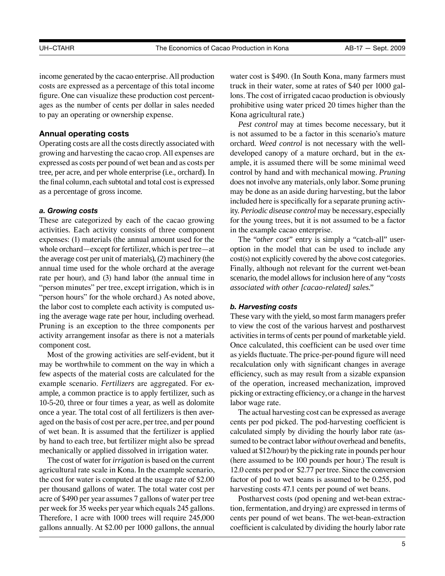income generated by the cacao enterprise. All production costs are expressed as a percentage of this total income figure. One can visualize these production cost percentages as the number of cents per dollar in sales needed to pay an operating or ownership expense.

# **Annual operating costs**

 growing and harvesting the cacao crop. All expenses are expressed as costs per pound of wet bean and as costs per the final column, each subtotal and total cost is expressed Operating costs are all the costs directly associated with tree, per acre, and per whole enterprise (i.e., orchard). In as a percentage of gross income.

## *a. Growing costs*

 These are categorized by each of the cacao growing activities. Each activity consists of three component whole orchard—except for fertilizer, which is per tree—at the average cost per unit of materials), (2) machinery (the Pruning is an exception to the three components per expenses: (1) materials (the annual amount used for the annual time used for the whole orchard at the average rate per hour), and (3) hand labor (the annual time in "person minutes" per tree, except irrigation, which is in "person hours" for the whole orchard.) As noted above, the labor cost to complete each activity is computed using the average wage rate per hour, including overhead. activity arrangement insofar as there is not a materials component cost.

 example scenario. *Fertilizers* are aggregated. For ex- aged on the basis of cost per acre, per tree, and per pound Most of the growing activities are self-evident, but it may be worthwhile to comment on the way in which a few aspects of the material costs are calculated for the ample, a common practice is to apply fertilizer, such as 10-5-20, three or four times a year, as well as dolomite once a year. The total cost of all fertilizers is then averof wet bean. It is assumed that the fertilizer is applied by hand to each tree, but fertilizer might also be spread mechanically or applied dissolved in irrigation water.

 acre of \$490 per year assumes 7 gallons of water per tree per week for 35 weeks per year which equals 245 gallons. The cost of water for *irrigation* is based on the current agricultural rate scale in Kona. In the example scenario, the cost for water is computed at the usage rate of \$2.00 per thousand gallons of water. The total water cost per Therefore, 1 acre with 1000 trees will require 245,000 gallons annually. At \$2.00 per 1000 gallons, the annual

water cost is \$490. (In South Kona, many farmers must truck in their water, some at rates of \$40 per 1000 gallons. The cost of irrigated cacao production is obviously prohibitive using water priced 20 times higher than the Kona agricultural rate.)

 does not involve any materials, only labor. Some pruning included here is specifically for a separate pruning activ- ity. *Periodic disease control* may be necessary, especially *Pest control* may at times become necessary, but it is not assumed to be a factor in this scenario's mature orchard. *Weed control* is not necessary with the welldeveloped canopy of a mature orchard, but in the example, it is assumed there will be some minimal weed control by hand and with mechanical mowing. *Pruning* may be done as an aside during harvesting, but the labor for the young trees, but it is not assumed to be a factor in the example cacao enterprise.

 option in the model that can be used to include any cost(s) not explicitly covered by the above cost categories. scenario, the model allows for inclusion here of any "*costs*  The "*other cost*" entry is simply a "catch-all" user-Finally, although not relevant for the current wet-bean *associated with other [cacao-related] sales*."

### *b. Harvesting costs*

 activities in terms of cents per pound of marketable yield. of the operation, increased mechanization, improved picking or extracting efficiency, or a change in the harvest These vary with the yield, so most farm managers prefer to view the cost of the various harvest and postharvest Once calculated, this coefficient can be used over time as yields fluctuate. The price-per-pound figure will need recalculation only with significant changes in average efficiency, such as may result from a sizable expansion labor wage rate.

 cents per pod picked. The pod-harvesting coefficient is calculated simply by dividing the hourly labor rate (as- sumed to be contract labor *without* overhead and benefits, valued at \$12/hour) by the picking rate in pounds per hour (here assumed to be 100 pounds per hour.) The result is 12.0 cents per pod or \$2.77 per tree. Since the conversion factor of pod to wet beans is assumed to be 0.255, pod harvesting costs 47.1 cents per pound of wet beans. The actual harvesting cost can be expressed as average

 tion, fermentation, and drying) are expressed in terms of coefficient is calculated by dividing the hourly labor rate Postharvest costs (pod opening and wet-bean extraccents per pound of wet beans. The wet-bean-extraction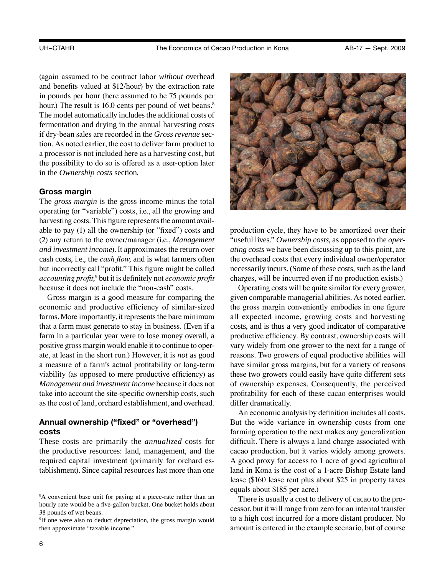# The model automatically includes the additional costs of (again assumed to be contract labor *without* overhead and benefits valued at \$12/hour) by the extraction rate in pounds per hour (here assumed to be 75 pounds per hour.) The result is 16.0 cents per pound of wet beans.<sup>8</sup> fermentation and drying in the annual harvesting costs if dry-bean sales are recorded in the *Gross revenue* section. As noted earlier, the cost to deliver farm product to a processor is not included here as a harvesting cost, but the possibility to do so is offered as a user-option later in the *Ownership costs* section.

# **Gross margin**

 harvesting costs. This figure represents the amount avail- *accounting profit*, <sup>9</sup>but it is definitely not *economic profit*  The *gross margin* is the gross income minus the total operating (or "variable") costs, i.e., all the growing and able to pay (1) all the ownership (or "fixed") costs and (2) any return to the owner/manager (i.e., *Management and investment income*). It approximates the return over cash costs, i.e., the *cash flow*, and is what farmers often but incorrectly call "profit." This figure might be called because it does not include the "non-cash" costs.

 economic and productive efficiency of similar-sized farms. More importantly, it represents the bare minimum positive gross margin would enable it to continue to oper- *Management and investment income* because it does not Gross margin is a good measure for comparing the that a farm must generate to stay in business. (Even if a farm in a particular year were to lose money overall, a ate, at least in the short run.) However, it is *not* as good a measure of a farm's actual profitability or long-term viability (as opposed to mere productive efficiency) as take into account the site-specific ownership costs, such as the cost of land, orchard establishment, and overhead.

# **Annual ownership ("fixed" or "overhead") costs**

 These costs are primarily the *annualized* costs for the productive resources: land, management, and the required capital investment (primarily for orchard establishment). Since capital resources last more than one



 necessarily incurs. (Some of these costs, such as the land production cycle, they have to be amortized over their "useful lives." *Ownership costs*, as opposed to the *operating costs* we have been discussing up to this point, are the overhead costs that every individual owner/operator charges, will be incurred even if no production exists.)

 all expected income, growing costs and harvesting of ownership expenses. Consequently, the perceived Operating costs will be quite similar for every grower, given comparable managerial abilities. As noted earlier, the gross margin conveniently embodies in one figure costs, and is thus a very good indicator of comparative productive efficiency. By contrast, ownership costs will vary widely from one grower to the next for a range of reasons. Two growers of equal productive abilities will have similar gross margins, but for a variety of reasons these two growers could easily have quite different sets profitability for each of these cacao enterprises would differ dramatically.

 But the wide variance in ownership costs from one An economic analysis by definition includes all costs. farming operation to the next makes any generalization difficult. There is always a land charge associated with cacao production, but it varies widely among growers. A good proxy for access to 1 acre of good agricultural land in Kona is the cost of a 1-acre Bishop Estate land lease (\$160 lease rent plus about \$25 in property taxes equals about \$185 per acre.)

 cessor, but it will range from zero for an internal transfer There is usually a cost to delivery of cacao to the proto a high cost incurred for a more distant producer. No amount is entered in the example scenario, but of course

<sup>8</sup> A convenient base unit for paying at a piece-rate rather than an hourly rate would be a five-gallon bucket. One bucket holds about 38 pounds of wet beans.

<sup>9</sup> If one were also to deduct depreciation, the gross margin would then approximate "taxable income."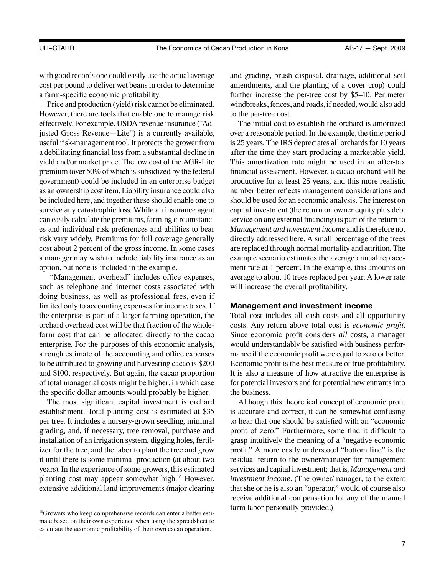with good records one could easily use the actual average cost per pound to deliver wet beans in order to determine a farm-specific economic profitability.

 effectively. For example, USDA revenue insurance ("Ad- useful risk-management tool. It protects the grower from premium (over 50% of which is subsidized by the federal as an ownership cost item. Liability insurance could also be included here, and together these should enable one to can easily calculate the premiums, farming circumstanc-Price and production (yield) risk cannot be eliminated. However, there are tools that enable one to manage risk justed Gross Revenue—Lite") is a currently available, a debilitating financial loss from a substantial decline in yield and/or market price. The low cost of the AGR-Lite government) could be included in an enterprise budget survive any catastrophic loss. While an insurance agent es and individual risk preferences and abilities to bear risk vary widely. Premiums for full coverage generally cost about 2 percent of the gross income. In some cases a manager may wish to include liability insurance as an option, but none is included in the example.

 such as telephone and internet costs associated with doing business, as well as professional fees, even if farm cost that can be allocated directly to the cacao "Management overhead" includes office expenses, limited only to accounting expenses for income taxes. If the enterprise is part of a larger farming operation, the orchard overhead cost will be that fraction of the wholeenterprise. For the purposes of this economic analysis, a rough estimate of the accounting and office expenses to be attributed to growing and harvesting cacao is \$200 and \$100, respectively. But again, the cacao proportion of total managerial costs might be higher, in which case the specific dollar amounts would probably be higher.

 establishment. Total planting cost is estimated at \$35 years). In the experience of some growers, this estimated planting cost may appear somewhat high.<sup>10</sup> However, The most significant capital investment is orchard per tree. It includes a nursery-grown seedling, minimal grading, and, if necessary, tree removal, purchase and installation of an irrigation system, digging holes, fertilizer for the tree, and the labor to plant the tree and grow it until there is some minimal production (at about two extensive additional land improvements (major clearing

 and grading, brush disposal, drainage, additional soil amendments, and the planting of a cover crop) could windbreaks, fences, and roads, if needed, would also add further increase the per-tree cost by \$5–10. Perimeter to the per-tree cost.

 over a reasonable period. In the example, the time period is 25 years. The IRS depreciates all orchards for 10 years This amortization rate might be used in an after-tax  *Management and investment income* and is therefore not are replaced through normal mortality and attrition. The The initial cost to establish the orchard is amortized after the time they start producing a marketable yield. financial assessment. However, a cacao orchard will be productive for at least 25 years, and this more realistic number better reflects management considerations and should be used for an economic analysis. The interest on capital investment (the return on owner equity plus debt service on any external financing) is part of the return to directly addressed here. A small percentage of the trees example scenario estimates the average annual replacement rate at 1 percent. In the example, this amounts on average to about 10 trees replaced per year. A lower rate will increase the overall profitability.

# **Management and investment income**

 Total cost includes all cash costs and all opportunity Since economic profit considers *all* costs, a manager mance if the economic profit were equal to zero or better. for potential investors and for potential new entrants into costs. Any return above total cost is *economic profit*. would understandably be satisfied with business perfor-Economic profit is the best measure of true profitability. It is also a measure of how attractive the enterprise is the business.

 profit of zero." Furthermore, some find it difficult to services and capital investment; that is, *Management and*  Although this theoretical concept of economic profit is accurate and correct, it can be somewhat confusing to hear that one should be satisfied with an "economic grasp intuitively the meaning of a "negative economic profit." A more easily understood "bottom line" is the residual return to the owner/manager for management *investment income*. (The owner/manager, to the extent that she or he is also an "operator," would of course also receive additional compensation for any of the manual farm labor personally provided.)

<sup>&</sup>lt;sup>10</sup>Growers who keep comprehensive records can enter a better estimate based on their own experience when using the spreadsheet to calculate the economic profitability of their own cacao operation.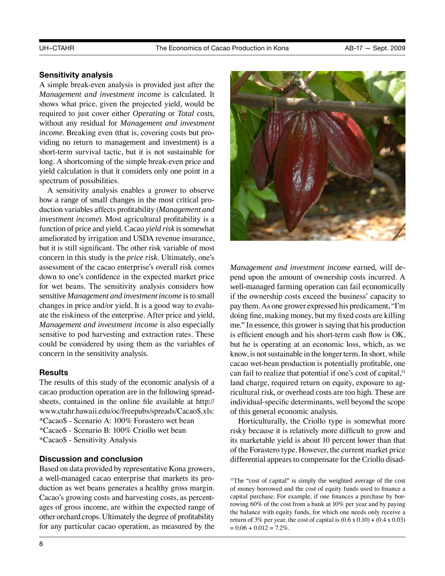# **Sensitivity analysis**

 *Management and investment income* is calculated. It A simple break-even analysis is provided just after the shows what price, given the projected yield, would be required to just cover either *Operating* or *Total costs*, without any residual for *Management and investment income*. Breaking even (that is, covering costs but providing no return to management and investment) is a short-term survival tactic, but it is not sustainable for long. A shortcoming of the simple break-even price and yield calculation is that it considers only one point in a spectrum of possibilities.

 function of price and yield. Cacao *yield risk* is somewhat for wet beans. The sensitivity analysis considers how  sensitive *Management and investment income* is to small A sensitivity analysis enables a grower to observe how a range of small changes in the most critical production variables affects profitability (*Management and investment income*). Most agricultural profitability is a ameliorated by irrigation and USDA revenue insurance, but it is still significant. The other risk variable of most concern in this study is the *price risk*. Ultimately, one's assessment of the cacao enterprise's overall risk comes down to one's confidence in the expected market price changes in price and/or yield. It is a good way to evaluate the riskiness of the enterprise. After price and yield, *Management and investment income* is also especially sensitive to pod harvesting and extraction rates. These could be considered by using them as the variables of concern in the sensitivity analysis.

# **Results**

The results of this study of the economic analysis of a cacao production operation are in the following spreadsheets, contained in the online file available at [http://](http://www.ctahr.hawaii.edu/oc/freepubs/spreads/Cacao$.xls) [www.ctahr.hawaii.edu/oc/freepubs/spreads/Cacao\\$.xls:](http://www.ctahr.hawaii.edu/oc/freepubs/spreads/Cacao$.xls)

- \*Cacao\$ Scenario A: 100% Forastero wet bean
- \*Cacao\$ Scenario B: 100% Criollo wet bean
- \*Cacao\$ Sensitivity Analysis

# **Discussion and conclusion**

 other orchard crops. Ultimately the degree of profitability Based on data provided by representative Kona growers, a well-managed cacao enterprise that markets its production as wet beans generates a healthy gross margin. Cacao's growing costs and harvesting costs, as percentages of gross income, are within the expected range of for any particular cacao operation, as measured by the



 pay them. As one grower expressed his predicament, "I'm me." In essence, this grower is saying that his production know, is not sustainable in the longer term. In short, while *Management and investment income* earned, will depend upon the amount of ownership costs incurred. A well-managed farming operation can fail economically if the ownership costs exceed the business' capacity to doing fine, making money, but my fixed costs are killing is efficient enough and his short-term cash flow is OK, but he is operating at an economic loss, which, as we cacao wet-bean production is potentially profitable, one can fail to realize that potential if one's cost of capital,<sup>11</sup> land charge, required return on equity, exposure to agricultural risk, or overhead costs are too high. These are individual-specific determinants, well beyond the scope of this general economic analysis.

 Horticulturally, the Criollo type is somewhat more risky because it is relatively more difficult to grow and its marketable yield is about 10 percent lower than that of the Forastero type. However, the current market price differential appears to compensate for the Criollo disad-

<sup>11</sup>The "cost of capital" is simply the weighted average of the cost of money borrowed and the cost of equity funds used to finance a capital purchase. For example, if one finances a purchase by borrowing 60% of the cost from a bank at 10% per year and by paying the balance with equity funds, for which one needs only receive a return of 3% per year, the cost of capital is  $(0.6 \times 0.10) + (0.4 \times 0.03)$  $= 0.06 + 0.012 = 7.2\%$ .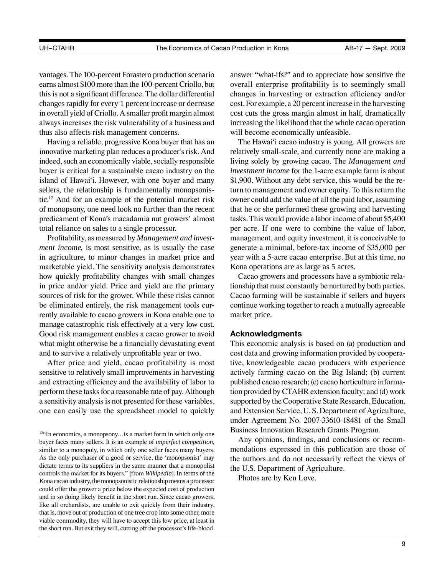vantages. The 100-percent Forastero production scenario earns almost \$100 more than the 100-percent Criollo, but this is not a significant difference. The dollar differential in overall yield of Criollo. A smaller profit margin almost changes rapidly for every 1 percent increase or decrease always increases the risk vulnerability of a business and thus also affects risk management concerns.

 innovative marketing plan reduces a producer's risk. And indeed, such an economically viable, socially responsible Having a reliable, progressive Kona buyer that has an buyer is critical for a sustainable cacao industry on the island of Hawai'i. However, with one buyer and many sellers, the relationship is fundamentally monopsonistic.12 And for an example of the potential market risk of monopsony, one need look no further than the recent predicament of Kona's macadamia nut growers' almost total reliance on sales to a single processor.

 Profitability, as measured by *Management and invest-* in agriculture, to minor changes in market price and how quickly profitability changes with small changes *ment income*, is most sensitive, as is usually the case marketable yield. The sensitivity analysis demonstrates in price and/or yield. Price and yield are the primary sources of risk for the grower. While these risks cannot be eliminated entirely, the risk management tools currently available to cacao growers in Kona enable one to manage catastrophic risk effectively at a very low cost. Good risk management enables a cacao grower to avoid what might otherwise be a financially devastating event and to survive a relatively unprofitable year or two.

 perform these tasks for a reasonable rate of pay. Although one can easily use the spreadsheet model to quickly After price and yield, cacao profitability is most sensitive to relatively small improvements in harvesting and extracting efficiency and the availability of labor to a sensitivity analysis is not presented for these variables,

 overall enterprise profitability is to seemingly small changes in harvesting or extraction efficiency and/or cost. For example, a 20 percent increase in the harvesting answer "what-ifs?" and to appreciate how sensitive the cost cuts the gross margin almost in half, dramatically increasing the likelihood that the whole cacao operation will become economically unfeasible.

 owner could add the value of all the paid labor, assuming tasks. This would provide a labor income of about \$5,400 per acre. If one were to combine the value of labor, The Hawai'i cacao industry is young. All growers are relatively small-scale, and currently none are making a living solely by growing cacao. The *Management and investment income* for the 1-acre example farm is about \$1,900. Without any debt service, this would be the return to management and owner equity. To this return the that he or she performed these growing and harvesting management, and equity investment, it is conceivable to generate a minimal, before-tax income of \$35,000 per year with a 5-acre cacao enterprise. But at this time, no Kona operations are as large as 5 acres.

 tionship that must constantly be nurtured by both parties. continue working together to reach a mutually agreeable Cacao growers and processors have a symbiotic rela-Cacao farming will be sustainable if sellers and buyers market price.

# **Acknowledgments**

 cost data and growing information provided by coopera- tive, knowledgeable cacao producers with experience actively farming cacao on the Big Island; (b) current published cacao research; (c) cacao horticulture informa- tion provided by CTAHR extension faculty; and (d) work supported by the Cooperative State Research, Education, and Extension Service, U. S. Department of Agriculture, This economic analysis is based on (a) production and under Agreement No. 2007-33610-18481 of the Small Business Innovation Research Grants Program.

Any opinions, findings, and conclusions or recommendations expressed in this publication are those of the authors and do not necessarily reflect the views of the U.S. Department of Agriculture.

Photos are by Ken Love.

 12"In economics, a monopsony…is a market form in which only one buyer faces many sellers. It is an example of *imperfect competition*, similar to a monopoly, in which only one seller faces many buyers. As the only purchaser of a good or service, the 'monopsonist' may dictate terms to its suppliers in the same manner that a monopolist controls the market for its buyers." [from *Wikipedia*]. In terms of the Kona cacao industry, the monopsonistic relationship means a processor could offer the grower a price below the expected cost of production and in so doing likely benefit in the short run. Since cacao growers, like all orchardists, are unable to exit quickly from their industry, that is, move out of production of one tree crop into some other, more viable commodity, they will have to accept this low price, at least in the short run. But exit they will, cutting off the processor's life-blood.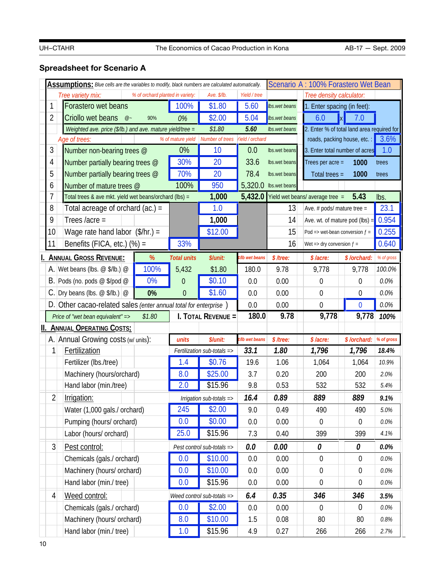# **Spreadsheet for Scenario A**

| Scenario A: 100% Forastero Wet Bean<br>Assumptions: Blue cells are the variables to modify, black numbers are calculated automatically. |                                                           |                                                                  |                                  |                    |                                 |                |               |                                            |                             |            |
|-----------------------------------------------------------------------------------------------------------------------------------------|-----------------------------------------------------------|------------------------------------------------------------------|----------------------------------|--------------------|---------------------------------|----------------|---------------|--------------------------------------------|-----------------------------|------------|
|                                                                                                                                         |                                                           | Tree variety mix:                                                | % of orchard planted in variety: |                    | Ave. \$/lb.                     | Yield / tree   |               | Tree density calculator:                   |                             |            |
| 1                                                                                                                                       |                                                           | Forastero wet beans                                              |                                  | 100%               | \$1.80                          | 5.60           | Ibs.wet beans | 1. Enter spacing (in feet):                |                             |            |
| 2                                                                                                                                       |                                                           | Criollo wet beans<br>$@$ ~                                       | 0%                               | \$2.00             | 5.04                            | Ibs.wet beans  | 6.0           | $\mathbf{K}$<br>7.0                        |                             |            |
|                                                                                                                                         | Weighted ave. price (\$/lb.) and ave. mature yield/tree = |                                                                  |                                  |                    |                                 | 5.60           | Ibs.wet beans | 2. Enter % of total land area required for |                             |            |
|                                                                                                                                         |                                                           | Age of trees:                                                    |                                  | % of mature yield  | Number of trees Yield / orchard |                |               |                                            | roads, packing house, etc.: | 3.6%       |
| 3                                                                                                                                       |                                                           | Number non-bearing trees @                                       |                                  | 0%                 | 10                              | 0.0            | Ibs.wet beans | 3. Enter total number of acres             |                             | 1.0        |
| 4                                                                                                                                       |                                                           | Number partially bearing trees @                                 |                                  | 30%                | 20                              | 33.6           | Ibs.wet beans | Trees per acre =                           | 1000                        | trees      |
| 5                                                                                                                                       |                                                           | Number partially bearing trees @                                 |                                  | 70%                | 20                              | 78.4           | Ibs.wet beans | Total trees $=$                            | 1000                        | trees      |
| 6                                                                                                                                       |                                                           | Number of mature trees @                                         |                                  | 100%               | 950                             | 5,320.0        | Ibs.wet beans |                                            |                             |            |
| 7                                                                                                                                       |                                                           | Total trees & ave mkt. yield wet beans/orchard (lbs) =           |                                  |                    | 1,000                           | 5,432.0        |               | Yield wet beans/ average tree =            | 5.43                        | lbs.       |
| 8                                                                                                                                       |                                                           | Total acreage of orchard $(ac.) =$                               |                                  |                    | 1.0                             |                | 13            | Ave. $#$ pods/ mature tree =               |                             | 23.1       |
| 9                                                                                                                                       |                                                           | Trees /acre =                                                    |                                  |                    | 1,000                           |                | 14            | Ave. wt. of mature pod $(lbs)$ =           |                             | 0.954      |
| 10                                                                                                                                      |                                                           | Wage rate hand labor $($/hr.) =$                                 |                                  |                    | \$12.00                         |                | 15            | Pod => wet-bean conversion $f =$           |                             | 0.255      |
| 11                                                                                                                                      |                                                           | Benefits (FICA, etc.) $(\%) =$                                   |                                  | 33%                |                                 |                | 16            | Wet => dry conversion $f =$                |                             | 0.640      |
|                                                                                                                                         |                                                           | <b>ANNUAL GROSS REVENUE:</b>                                     | %                                | <b>Total units</b> | \$/unit:                        | t/lb wet beans | \$/tree:      | \$/acre:                                   | \$/orchard:                 | % of gross |
|                                                                                                                                         |                                                           | A. Wet beans (lbs. $\omega$ \$/lb.) $\omega$                     | 100%                             | 5,432              | \$1.80                          | 180.0          | 9.78          | 9,778                                      | 9,778                       | 100.0%     |
| В.                                                                                                                                      |                                                           | Pods (no. pods $@$ \$/pod $@$                                    | 0%                               | 0                  | \$0.10                          | 0.0            | 0.00          | 0                                          | 0                           | $0.0\%$    |
| C.                                                                                                                                      |                                                           | Dry beans (lbs. $@$/lb.)$ $@$                                    | 0%                               | $\mathbf{0}$       | \$1.60                          | 0.0            | 0.00          | $\mathbf 0$                                | $\boldsymbol{0}$            | 0.0%       |
|                                                                                                                                         |                                                           | D. Other cacao-related sales (enter annual total for enterprise) |                                  |                    |                                 | 0.0            | 0.00          | $\overline{0}$                             | $\bf{0}$                    | 0.0%       |
|                                                                                                                                         |                                                           | Price of "wet bean equivalent" =>                                | \$1.80                           |                    | I. TOTAL REVENUE =              | 180.0          | 9.78          | 9,778                                      | 9,778                       | 100%       |
|                                                                                                                                         |                                                           | <b>II. ANNUAL OPERATING COSTS:</b>                               |                                  |                    |                                 |                |               |                                            |                             |            |
|                                                                                                                                         |                                                           | A. Annual Growing costs (w/ units):                              |                                  | units              | \$/unit:                        | t/lb wet beans | $$$ /tree:    | \$/acre:                                   | \$/orchard:                 | % of gross |
|                                                                                                                                         | 1                                                         | Fertilization                                                    |                                  |                    | Fertilization sub-totals =>     | 33.1           | 1.80          | 1,796                                      | 1,796                       | 18.4%      |
|                                                                                                                                         |                                                           | Fertilizer (Ibs./tree)                                           |                                  | 1.4                | \$0.76                          | 19.6           | 1.06          | 1,064                                      | 1,064                       | 10.9%      |
|                                                                                                                                         |                                                           | Machinery (hours/orchard)                                        |                                  | 8.0                | \$25.00                         | 3.7            | 0.20          | 200                                        | 200                         | 2.0%       |
|                                                                                                                                         |                                                           | Hand labor (min./tree)                                           |                                  | 2.0                | \$15.96                         | 9.8            | 0.53          | 532                                        | 532                         | 5.4%       |
|                                                                                                                                         | 2                                                         | Irrigation:                                                      |                                  |                    | Irrigation sub-totals =>        | 16.4           | 0.89          | 889                                        | 889                         | 9.1%       |
|                                                                                                                                         |                                                           | Water (1,000 gals./ orchard)                                     |                                  | 245                | \$2.00                          | 9.0            | 0.49          | 490                                        | 490                         | 5.0%       |
|                                                                                                                                         |                                                           | Pumping (hours/ orchard)                                         |                                  | 0.0                | \$0.00                          | 0.0            | 0.00          | $\boldsymbol{0}$                           | 0                           | $0.0\%$    |
|                                                                                                                                         |                                                           | Labor (hours/ orchard)                                           |                                  | 25.0               | \$15.96                         | 7.3            | 0.40          | 399                                        | 399                         | 4.1%       |
|                                                                                                                                         | $\mathfrak{Z}$                                            | Pest control:                                                    |                                  |                    | Pest control sub-totals =>      | 0.0            | 0.00          | 0                                          | 0                           | $0.0\%$    |
|                                                                                                                                         |                                                           | Chemicals (gals./ orchard)                                       | 0.0                              | \$10.00            | 0.0                             | 0.00           | $\mathbf 0$   | $\boldsymbol{0}$                           | $0.0\%$                     |            |
|                                                                                                                                         |                                                           | Machinery (hours/ orchard)                                       |                                  | 0.0                | \$10.00                         | 0.0            | 0.00          | $\mathbf 0$                                | $\boldsymbol{0}$            | $0.0\%$    |
|                                                                                                                                         | Hand labor (min./ tree)                                   |                                                                  |                                  | 0.0                | \$15.96                         | 0.0            | 0.00          | 0                                          | 0                           | $0.0\%$    |
|                                                                                                                                         | 4                                                         | Weed control:                                                    |                                  |                    | Weed control sub-totals =>      | 6.4            | 0.35          | 346                                        | 346                         | 3.5%       |
|                                                                                                                                         |                                                           | Chemicals (gals./ orchard)                                       |                                  | 0.0                | \$2.00                          | 0.0            | 0.00          | $\boldsymbol{0}$                           | $\boldsymbol{0}$            | $0.0\%$    |
|                                                                                                                                         |                                                           | Machinery (hours/ orchard)                                       |                                  | 8.0                | \$10.00                         | 1.5            | 0.08          | 80                                         | 80                          | $0.8\%$    |
|                                                                                                                                         | Hand labor (min./ tree)                                   |                                                                  |                                  |                    |                                 |                |               |                                            |                             |            |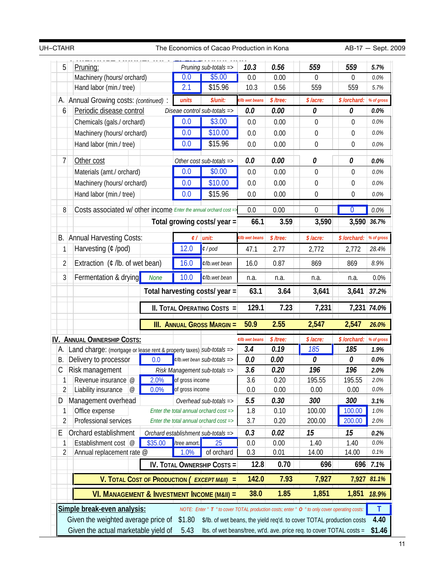| UH-CTAHR       |                                                                          |                            |                       | The Economics of Cacao Production in Kona   |                |                  |                                                                                               | AB-17 - Sept. 2009 |             |
|----------------|--------------------------------------------------------------------------|----------------------------|-----------------------|---------------------------------------------|----------------|------------------|-----------------------------------------------------------------------------------------------|--------------------|-------------|
| 5<br>Pruning:  |                                                                          |                            | Pruning sub-totals => |                                             | 10.3           | 0.56             | 559                                                                                           | 559                | 5.7%        |
|                | Machinery (hours/ orchard)                                               |                            | 0.0                   | \$5.00                                      | 0.0            | 0.00             | 0                                                                                             | $\Omega$           | 0.0%        |
|                | Hand labor (min./ tree)                                                  |                            | 2.1                   | \$15.96                                     | 10.3           | 0.56             | 559                                                                                           | 559                | 5.7%        |
| А.             | Annual Growing costs: (continued) :                                      |                            | units                 | \$/unit:                                    | t/lb wet beans | $$$ /tree:       | \$/acre:                                                                                      | \$/orchard:        | % of gross  |
| 6              | Periodic disease control                                                 |                            |                       | Diseae control sub-totals =>                | 0.0            | 0.00             | 0                                                                                             | 0                  | 0.0%        |
|                | Chemicals (gals./ orchard)                                               |                            | 0.0                   | \$3.00                                      | 0.0            | 0.00             | $\boldsymbol{0}$                                                                              | 0                  | 0.0%        |
|                | Machinery (hours/ orchard)                                               |                            | 0.0                   | \$10.00                                     | 0.0            | 0.00             | $\mathbf 0$                                                                                   | $\boldsymbol{0}$   | 0.0%        |
|                | Hand labor (min./ tree)                                                  |                            | 0.0                   | \$15.96                                     | 0.0            | 0.00             | $\mathbf 0$                                                                                   | $\mathbf 0$        | 0.0%        |
| 7              | Other cost                                                               |                            |                       | Other cost sub-totals =>                    | 0.0            | 0.00             | 0                                                                                             | 0                  | 0.0%        |
|                | Materials (amt./ orchard)                                                |                            | 0.0                   | \$0.00                                      | 0.0            | 0.00             | $\mathbf 0$                                                                                   | 0                  | 0.0%        |
|                | Machinery (hours/ orchard)                                               |                            | 0.0                   | \$10.00                                     | 0.0            | 0.00             | $\boldsymbol{0}$                                                                              | 0                  | 0.0%        |
|                | Hand labor (min./ tree)                                                  | 0.0                        | \$15.96               | 0.0                                         | 0.00           | $\boldsymbol{0}$ | $\boldsymbol{0}$                                                                              | 0.0%               |             |
| 8              | Costs associated w/ other income <i>Enter the annual orchard cost</i> => |                            |                       |                                             | 0.0            | 0.00             | $\overline{0}$                                                                                | $\overline{0}$     | 0.0%        |
|                |                                                                          |                            |                       |                                             | 66.1           | 3.59             | 3,590                                                                                         |                    | 3,590 36.7% |
|                |                                                                          |                            |                       | Total growing costs/ year =                 |                |                  |                                                                                               |                    |             |
| В.             | <b>Annual Harvesting Costs:</b>                                          |                            |                       | $C /$ unit:                                 | t/lb wet beans | $$$ /tree:       | \$/acre:                                                                                      | \$/orchard:        | % of gross  |
| 1              | Harvesting (¢ /pod)                                                      |                            | 12.0                  | $\ell$ / pod                                | 47.1           | 2.77             | 2,772                                                                                         | 2,772              | 28.4%       |
| $\overline{2}$ | Extraction $($ mathcal{C} /lb. of wet bean)                              |                            | 16.0                  | ¢/lb.wet bean                               | 16.0           | 0.87             | 869                                                                                           | 869                | 8.9%        |
| 3              | Fermentation & drying                                                    | <b>None</b>                | 10.0                  | ¢/lb.wet bean                               | n.a.           | n.a.             | n.a.                                                                                          | n.a.               | 0.0%        |
|                |                                                                          |                            |                       | Total harvesting costs/ year =              | 63.1           | 3.64             | 3,641                                                                                         | 3,641              | 37.2%       |
|                |                                                                          |                            |                       | <b>II. TOTAL OPERATING COSTS =</b>          | 129.1          | 7.23             | 7,231                                                                                         |                    | 7,231 74.0% |
|                |                                                                          |                            |                       | <b>III. ANNUAL GROSS MARGIN =</b>           | 50.9           | 2.55             | 2,547                                                                                         | 2,547              | 26.0%       |
|                | <b>IV. ANNUAL OWNERSHIP COSTS:</b>                                       |                            |                       |                                             | ¢/lb wet beans | $$$ /tree:       | \$/acre:                                                                                      | \$/orchard:        | % of gross  |
| А.             | Land charge: (mortgage or lease rent & property taxes) sub-totals =>     |                            |                       |                                             | 3.4            | 0.19             | 185                                                                                           | 185                | 1.9%        |
| В.             | Delivery to processor                                                    | 0.0                        |                       | $\ell$ /lb.wet bean Sub-totals =>           | 0.0            | 0.00             | 0                                                                                             | 0                  | 0.0%        |
| С              | Risk management                                                          |                            |                       | Risk Management sub-totals =>               | 3.6            | 0.20             | 196                                                                                           | 196                | 2.0%        |
| 1              | Revenue insurance @                                                      | 2.0%                       | of gross income       |                                             | 3.6            | 0.20             | 195.55                                                                                        | 195.55             | 2.0%        |
| $\sqrt{2}$     | Liability insurance<br>$^{\circ}$                                        | 0.0%                       | of gross income       |                                             | 0.0            | 0.00             | 0.00                                                                                          | 0.00               | $0.0\%$     |
| D              | Management overhead                                                      |                            |                       | Overhead sub-totals =>                      | 5.5            | 0.30             | 300                                                                                           | 300                | 3.1%        |
| 1              | Office expense                                                           |                            |                       | Enter the total annual orchard cost =>      | 1.8            | 0.10             | 100.00                                                                                        | 100.00             | 1.0%        |
| 2              | Professional services                                                    |                            |                       | Enter the total annual orchard cost =>      | 3.7            | 0.20             | 200.00                                                                                        | 200.00             | 2.0%        |
| Ε              | Orchard establishment                                                    |                            |                       | Orchard establishment sub-totals =>         | 0.3            | 0.02             | 15                                                                                            | 15                 | 0.2%        |
| 1              | Establishment cost @                                                     | \$35.00                    | /tree amort.          | 25                                          | 0.0            | 0.00             | 1.40                                                                                          | 1.40               | 0.0%        |
| 2              | Annual replacement rate @                                                |                            | 1.0%                  | of orchard                                  | 0.3            | 0.01             | 14.00                                                                                         | 14.00              | 0.1%        |
|                |                                                                          |                            |                       | <b>IV. TOTAL OWNERSHIP COSTS =</b>          | 12.8           | 0.70             | 696                                                                                           |                    | 696 7.1%    |
|                | <b>V. TOTAL COST OF PRODUCTION (</b>                                     | 142.0<br>$EXCEPT M&II$ ) = | 7.93                  | 7,927                                       |                | 7,927 81.1%      |                                                                                               |                    |             |
|                |                                                                          |                            |                       | VI. MANAGEMENT & INVESTMENT INCOME (M&II) = |                |                  |                                                                                               |                    |             |
|                |                                                                          |                            |                       |                                             | 38.0           | 1.85             | 1,851                                                                                         | 1,851              | 18.9%       |
|                | Simple break-even analysis:                                              |                            |                       |                                             |                |                  | NOTE: Enter " T " to cover TOTAL production costs; enter " O " to only cover operating costs: |                    | Τ           |